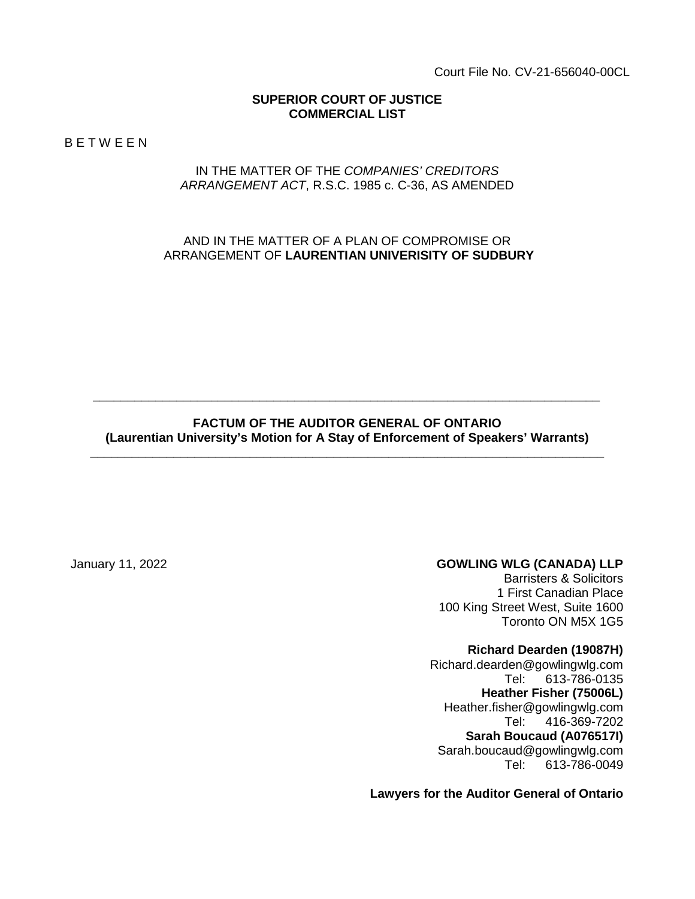Court File No. CV-21-656040-00CL

#### **SUPERIOR COURT OF JUSTICE COMMERCIAL LIST**

B E T W E E N

#### IN THE MATTER OF THE *COMPANIES' CREDITORS ARRANGEMENT ACT*, R.S.C. 1985 c. C-36, AS AMENDED

### AND IN THE MATTER OF A PLAN OF COMPROMISE OR ARRANGEMENT OF **LAURENTIAN UNIVERISITY OF SUDBURY**

#### **FACTUM OF THE AUDITOR GENERAL OF ONTARIO (Laurentian University's Motion for A Stay of Enforcement of Speakers' Warrants) \_\_\_\_\_\_\_\_\_\_\_\_\_\_\_\_\_\_\_\_\_\_\_\_\_\_\_\_\_\_\_\_\_\_\_\_\_\_\_\_\_\_\_\_\_\_\_\_\_\_\_\_\_\_\_\_\_\_\_\_\_\_\_\_\_\_\_\_\_\_\_\_\_\_**

*\_\_\_\_\_\_\_\_\_\_\_\_\_\_\_\_\_\_\_\_\_\_\_\_\_\_\_\_\_\_\_\_\_\_\_\_\_\_\_\_\_\_\_\_\_\_\_\_\_\_\_\_\_\_\_\_\_\_\_\_\_\_\_\_\_\_\_\_\_\_\_\_\_*

#### January 11, 2022 **GOWLING WLG (CANADA) LLP**

Barristers & Solicitors 1 First Canadian Place 100 King Street West, Suite 1600 Toronto ON M5X 1G5

#### **Richard Dearden (19087H)**

Richard.dearden@gowlingwlg.com Tel: 613-786-0135 **Heather Fisher (75006L)** Heather.fisher@gowlingwlg.com Tel: 416-369-7202 **Sarah Boucaud (A076517I)** Sarah.boucaud@gowlingwlg.com Tel: 613-786-0049

**Lawyers for the Auditor General of Ontario**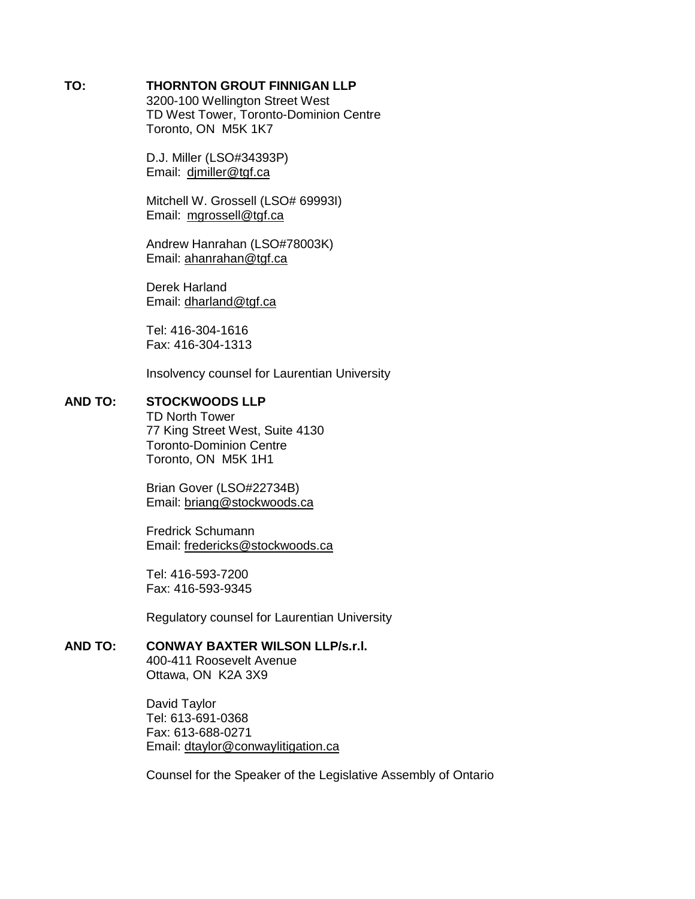#### **TO: THORNTON GROUT FINNIGAN LLP**

3200-100 Wellington Street West TD West Tower, Toronto-Dominion Centre Toronto, ON M5K 1K7

D.J. Miller (LSO#34393P) Email: [djmiller@tgf.ca](mailto:djmiller@tgf.ca)

Mitchell W. Grossell (LSO# 69993I) Email: [mgrossell@tgf.ca](mailto:mgrossell@tgf.ca)

Andrew Hanrahan (LSO#78003K) Email: [ahanrahan@tgf.ca](mailto:ahanrahan@tgf.ca)

Derek Harland Email: [dharland@tgf.ca](mailto:dharland@tgf.ca)

Tel: 416-304-1616 Fax: 416-304-1313

Insolvency counsel for Laurentian University

### **AND TO: STOCKWOODS LLP**

TD North Tower 77 King Street West, Suite 4130 Toronto-Dominion Centre Toronto, ON M5K 1H1

Brian Gover (LSO#22734B) Email: [briang@stockwoods.ca](mailto:briang@stockwoods.ca)

Fredrick Schumann Email: [fredericks@stockwoods.ca](mailto:fredericks@stockwoods.ca)

Tel: 416-593-7200 Fax: 416-593-9345

Regulatory counsel for Laurentian University

# **AND TO: CONWAY BAXTER WILSON LLP/s.r.l.**

400-411 Roosevelt Avenue Ottawa, ON K2A 3X9

David Taylor Tel: 613-691-0368 Fax: 613-688-0271 Email: [dtaylor@conwaylitigation.ca](mailto:dtaylor@conwaylitigation.ca)

Counsel for the Speaker of the Legislative Assembly of Ontario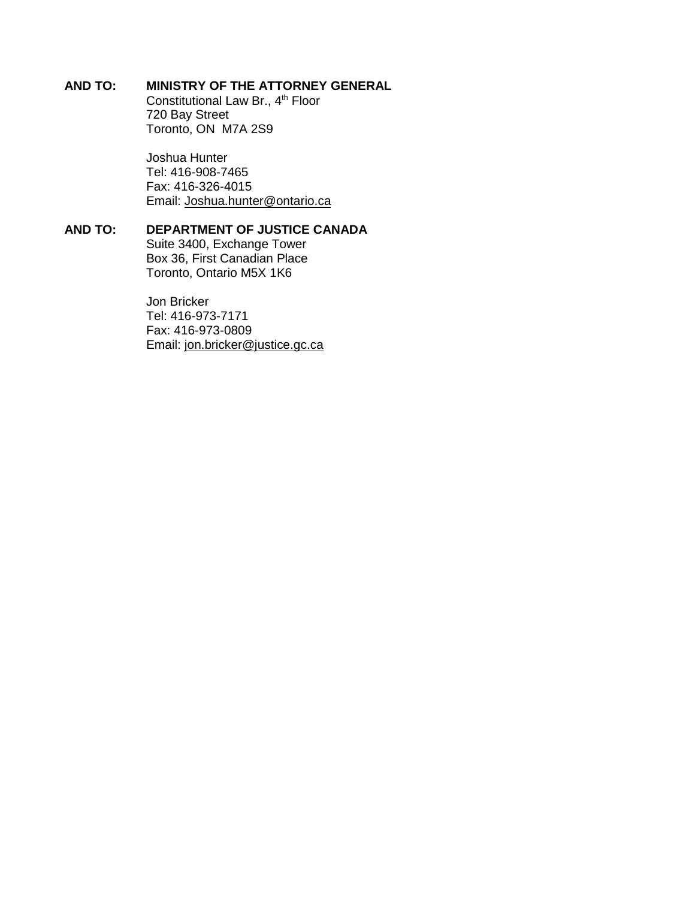#### **AND TO: MINISTRY OF THE ATTORNEY GENERAL**

Constitutional Law Br., 4<sup>th</sup> Floor 720 Bay Street Toronto, ON M7A 2S9

Joshua Hunter Tel: 416-908-7465 Fax: 416-326-4015 Email: [Joshua.hunter@ontario.ca](mailto:Joshua.hunter@ontario.ca)

#### **AND TO: DEPARTMENT OF JUSTICE CANADA**

Suite 3400, Exchange Tower Box 36, First Canadian Place Toronto, Ontario M5X 1K6

Jon Bricker Tel: 416-973-7171 Fax: 416-973-0809 Email: [jon.bricker@justice.gc.ca](mailto:jon.bricker@justice.gc.ca)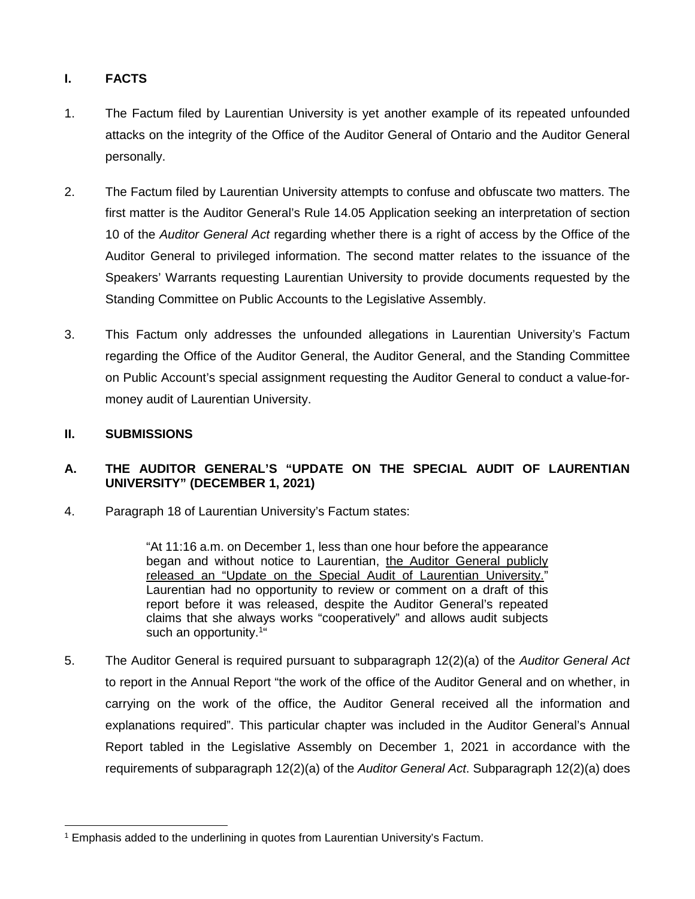# **I. FACTS**

- 1. The Factum filed by Laurentian University is yet another example of its repeated unfounded attacks on the integrity of the Office of the Auditor General of Ontario and the Auditor General personally.
- 2. The Factum filed by Laurentian University attempts to confuse and obfuscate two matters. The first matter is the Auditor General's Rule 14.05 Application seeking an interpretation of section 10 of the *Auditor General Act* regarding whether there is a right of access by the Office of the Auditor General to privileged information. The second matter relates to the issuance of the Speakers' Warrants requesting Laurentian University to provide documents requested by the Standing Committee on Public Accounts to the Legislative Assembly.
- 3. This Factum only addresses the unfounded allegations in Laurentian University's Factum regarding the Office of the Auditor General, the Auditor General, and the Standing Committee on Public Account's special assignment requesting the Auditor General to conduct a value-formoney audit of Laurentian University.

### **II. SUBMISSIONS**

## **A. THE AUDITOR GENERAL'S "UPDATE ON THE SPECIAL AUDIT OF LAURENTIAN UNIVERSITY" (DECEMBER 1, 2021)**

4. Paragraph 18 of Laurentian University's Factum states:

"At 11:16 a.m. on December 1, less than one hour before the appearance began and without notice to Laurentian, the Auditor General publicly released an "Update on the Special Audit of Laurentian University." Laurentian had no opportunity to review or comment on a draft of this report before it was released, despite the Auditor General's repeated claims that she always works "cooperatively" and allows audit subjects such an opportunity.<sup>1"</sup>

5. The Auditor General is required pursuant to subparagraph 12(2)(a) of the *Auditor General Act* to report in the Annual Report "the work of the office of the Auditor General and on whether, in carrying on the work of the office, the Auditor General received all the information and explanations required". This particular chapter was included in the Auditor General's Annual Report tabled in the Legislative Assembly on December 1, 2021 in accordance with the requirements of subparagraph 12(2)(a) of the *Auditor General Act*. Subparagraph 12(2)(a) does

<sup>1</sup> 1 Emphasis added to the underlining in quotes from Laurentian University's Factum.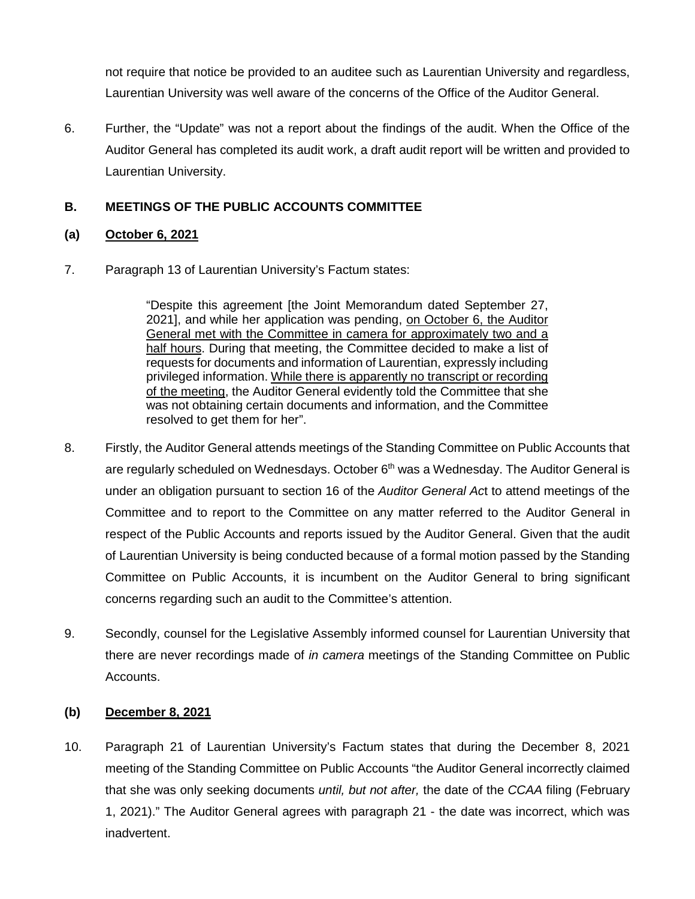not require that notice be provided to an auditee such as Laurentian University and regardless, Laurentian University was well aware of the concerns of the Office of the Auditor General.

6. Further, the "Update" was not a report about the findings of the audit. When the Office of the Auditor General has completed its audit work, a draft audit report will be written and provided to Laurentian University.

# **B. MEETINGS OF THE PUBLIC ACCOUNTS COMMITTEE**

### **(a) October 6, 2021**

7. Paragraph 13 of Laurentian University's Factum states:

"Despite this agreement [the Joint Memorandum dated September 27, 2021], and while her application was pending, on October 6, the Auditor General met with the Committee in camera for approximately two and a half hours. During that meeting, the Committee decided to make a list of requests for documents and information of Laurentian, expressly including privileged information. While there is apparently no transcript or recording of the meeting, the Auditor General evidently told the Committee that she was not obtaining certain documents and information, and the Committee resolved to get them for her".

- 8. Firstly, the Auditor General attends meetings of the Standing Committee on Public Accounts that are regularly scheduled on Wednesdays. October  $6<sup>th</sup>$  was a Wednesday. The Auditor General is under an obligation pursuant to section 16 of the *Auditor General Ac*t to attend meetings of the Committee and to report to the Committee on any matter referred to the Auditor General in respect of the Public Accounts and reports issued by the Auditor General. Given that the audit of Laurentian University is being conducted because of a formal motion passed by the Standing Committee on Public Accounts, it is incumbent on the Auditor General to bring significant concerns regarding such an audit to the Committee's attention.
- 9. Secondly, counsel for the Legislative Assembly informed counsel for Laurentian University that there are never recordings made of *in camera* meetings of the Standing Committee on Public Accounts.

### **(b) December 8, 2021**

10. Paragraph 21 of Laurentian University's Factum states that during the December 8, 2021 meeting of the Standing Committee on Public Accounts "the Auditor General incorrectly claimed that she was only seeking documents *until, but not after,* the date of the *CCAA* filing (February 1, 2021)." The Auditor General agrees with paragraph 21 - the date was incorrect, which was inadvertent.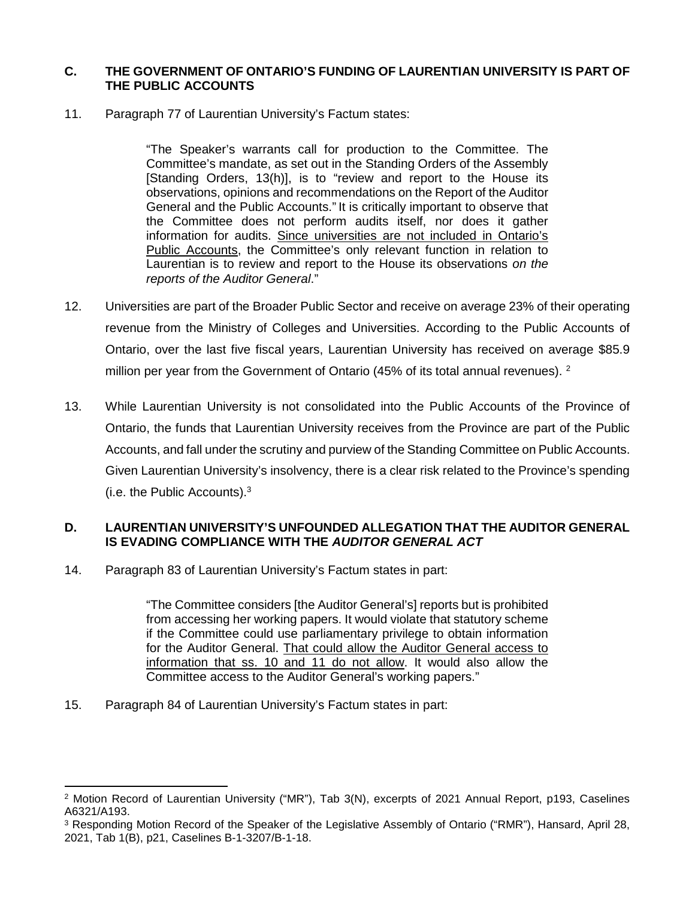#### **C. THE GOVERNMENT OF ONTARIO'S FUNDING OF LAURENTIAN UNIVERSITY IS PART OF THE PUBLIC ACCOUNTS**

11. Paragraph 77 of Laurentian University's Factum states:

"The Speaker's warrants call for production to the Committee. The Committee's mandate, as set out in the Standing Orders of the Assembly [Standing Orders, 13(h)], is to "review and report to the House its observations, opinions and recommendations on the Report of the Auditor General and the Public Accounts." It is critically important to observe that the Committee does not perform audits itself, nor does it gather information for audits. Since universities are not included in Ontario's Public Accounts, the Committee's only relevant function in relation to Laurentian is to review and report to the House its observations *on the reports of the Auditor General*."

- 12. Universities are part of the Broader Public Sector and receive on average 23% of their operating revenue from the Ministry of Colleges and Universities. According to the Public Accounts of Ontario, over the last five fiscal years, Laurentian University has received on average \$85.9 million per year from the Government of Ontario (45% of its total annual revenues).  $2^2$
- 13. While Laurentian University is not consolidated into the Public Accounts of the Province of Ontario, the funds that Laurentian University receives from the Province are part of the Public Accounts, and fall under the scrutiny and purview of the Standing Committee on Public Accounts. Given Laurentian University's insolvency, there is a clear risk related to the Province's spending (i.e. the Public Accounts).<sup>3</sup>

## **D. LAURENTIAN UNIVERSITY'S UNFOUNDED ALLEGATION THAT THE AUDITOR GENERAL IS EVADING COMPLIANCE WITH THE** *AUDITOR GENERAL ACT*

14. Paragraph 83 of Laurentian University's Factum states in part:

"The Committee considers [the Auditor General's] reports but is prohibited from accessing her working papers. It would violate that statutory scheme if the Committee could use parliamentary privilege to obtain information for the Auditor General. That could allow the Auditor General access to information that ss. 10 and 11 do not allow. It would also allow the Committee access to the Auditor General's working papers."

15. Paragraph 84 of Laurentian University's Factum states in part:

<sup>1</sup> 2 Motion Record of Laurentian University ("MR"), Tab 3(N), excerpts of 2021 Annual Report, p193, Caselines A6321/A193.

<sup>&</sup>lt;sup>3</sup> Responding Motion Record of the Speaker of the Legislative Assembly of Ontario ("RMR"), Hansard, April 28, 2021, Tab 1(B), p21, Caselines B-1-3207/B-1-18.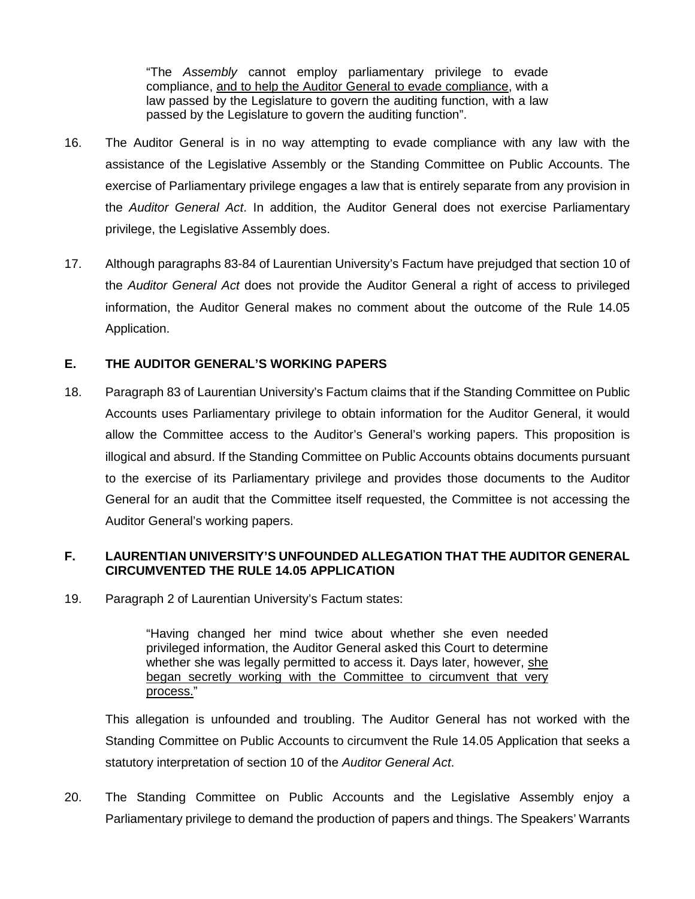"The *Assembly* cannot employ parliamentary privilege to evade compliance, and to help the Auditor General to evade compliance, with a law passed by the Legislature to govern the auditing function, with a law passed by the Legislature to govern the auditing function".

- 16. The Auditor General is in no way attempting to evade compliance with any law with the assistance of the Legislative Assembly or the Standing Committee on Public Accounts. The exercise of Parliamentary privilege engages a law that is entirely separate from any provision in the *Auditor General Act*. In addition, the Auditor General does not exercise Parliamentary privilege, the Legislative Assembly does.
- 17. Although paragraphs 83-84 of Laurentian University's Factum have prejudged that section 10 of the *Auditor General Act* does not provide the Auditor General a right of access to privileged information, the Auditor General makes no comment about the outcome of the Rule 14.05 Application.

### **E. THE AUDITOR GENERAL'S WORKING PAPERS**

18. Paragraph 83 of Laurentian University's Factum claims that if the Standing Committee on Public Accounts uses Parliamentary privilege to obtain information for the Auditor General, it would allow the Committee access to the Auditor's General's working papers. This proposition is illogical and absurd. If the Standing Committee on Public Accounts obtains documents pursuant to the exercise of its Parliamentary privilege and provides those documents to the Auditor General for an audit that the Committee itself requested, the Committee is not accessing the Auditor General's working papers.

### **F. LAURENTIAN UNIVERSITY'S UNFOUNDED ALLEGATION THAT THE AUDITOR GENERAL CIRCUMVENTED THE RULE 14.05 APPLICATION**

19. Paragraph 2 of Laurentian University's Factum states:

"Having changed her mind twice about whether she even needed privileged information, the Auditor General asked this Court to determine whether she was legally permitted to access it. Days later, however, she began secretly working with the Committee to circumvent that very process."

This allegation is unfounded and troubling. The Auditor General has not worked with the Standing Committee on Public Accounts to circumvent the Rule 14.05 Application that seeks a statutory interpretation of section 10 of the *Auditor General Act*.

20. The Standing Committee on Public Accounts and the Legislative Assembly enjoy a Parliamentary privilege to demand the production of papers and things. The Speakers' Warrants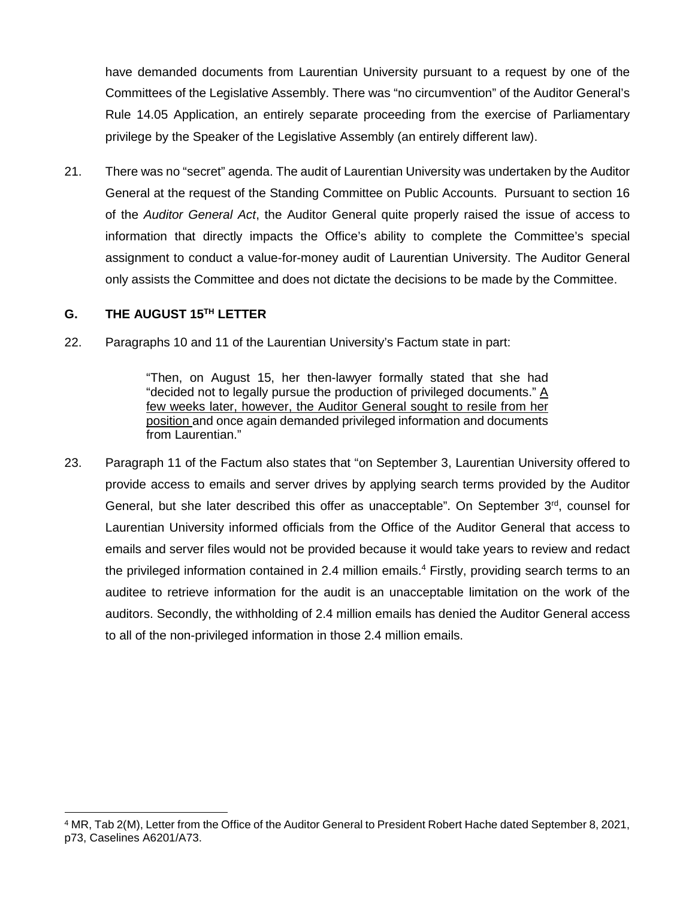have demanded documents from Laurentian University pursuant to a request by one of the Committees of the Legislative Assembly. There was "no circumvention" of the Auditor General's Rule 14.05 Application, an entirely separate proceeding from the exercise of Parliamentary privilege by the Speaker of the Legislative Assembly (an entirely different law).

21. There was no "secret" agenda. The audit of Laurentian University was undertaken by the Auditor General at the request of the Standing Committee on Public Accounts. Pursuant to section 16 of the *Auditor General Act*, the Auditor General quite properly raised the issue of access to information that directly impacts the Office's ability to complete the Committee's special assignment to conduct a value-for-money audit of Laurentian University. The Auditor General only assists the Committee and does not dictate the decisions to be made by the Committee.

### **G. THE AUGUST 15TH LETTER**

22. Paragraphs 10 and 11 of the Laurentian University's Factum state in part:

"Then, on August 15, her then-lawyer formally stated that she had "decided not to legally pursue the production of privileged documents." A few weeks later, however, the Auditor General sought to resile from her position and once again demanded privileged information and documents from Laurentian."

23. Paragraph 11 of the Factum also states that "on September 3, Laurentian University offered to provide access to emails and server drives by applying search terms provided by the Auditor General, but she later described this offer as unacceptable". On September 3<sup>rd</sup>, counsel for Laurentian University informed officials from the Office of the Auditor General that access to emails and server files would not be provided because it would take years to review and redact the privileged information contained in 2.4 million emails.<sup>4</sup> Firstly, providing search terms to an auditee to retrieve information for the audit is an unacceptable limitation on the work of the auditors. Secondly, the withholding of 2.4 million emails has denied the Auditor General access to all of the non-privileged information in those 2.4 million emails.

<sup>-</sup>4 MR, Tab 2(M), Letter from the Office of the Auditor General to President Robert Hache dated September 8, 2021, p73, Caselines A6201/A73.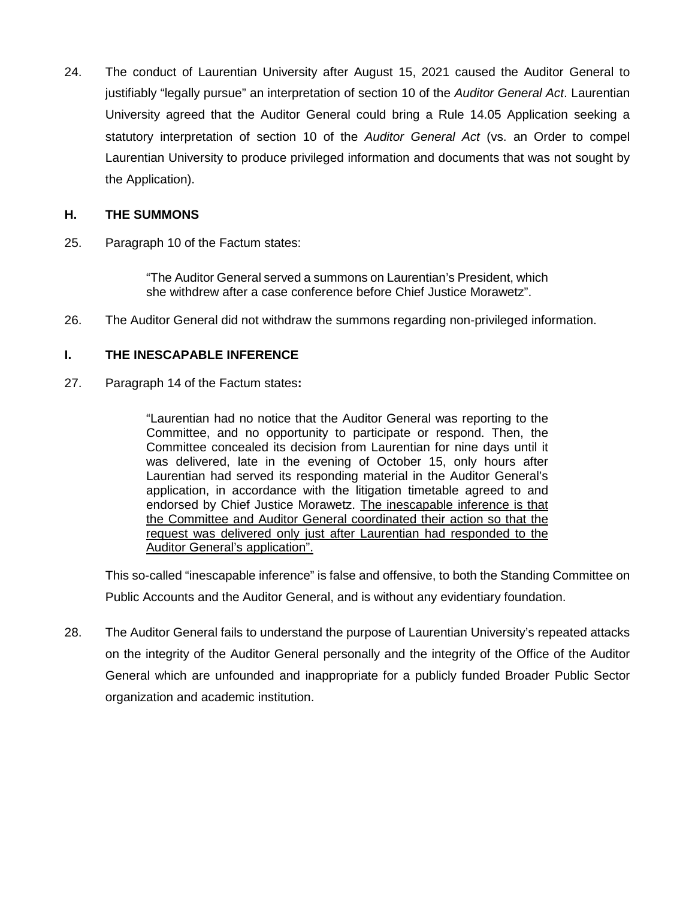24. The conduct of Laurentian University after August 15, 2021 caused the Auditor General to justifiably "legally pursue" an interpretation of section 10 of the *Auditor General Act*. Laurentian University agreed that the Auditor General could bring a Rule 14.05 Application seeking a statutory interpretation of section 10 of the *Auditor General Act* (vs. an Order to compel Laurentian University to produce privileged information and documents that was not sought by the Application).

#### **H. THE SUMMONS**

25. Paragraph 10 of the Factum states:

"The Auditor General served a summons on Laurentian's President, which she withdrew after a case conference before Chief Justice Morawetz".

26. The Auditor General did not withdraw the summons regarding non-privileged information.

### **I. THE INESCAPABLE INFERENCE**

27. Paragraph 14 of the Factum states**:**

"Laurentian had no notice that the Auditor General was reporting to the Committee, and no opportunity to participate or respond. Then, the Committee concealed its decision from Laurentian for nine days until it was delivered, late in the evening of October 15, only hours after Laurentian had served its responding material in the Auditor General's application, in accordance with the litigation timetable agreed to and endorsed by Chief Justice Morawetz. The inescapable inference is that the Committee and Auditor General coordinated their action so that the request was delivered only just after Laurentian had responded to the Auditor General's application".

This so-called "inescapable inference" is false and offensive, to both the Standing Committee on Public Accounts and the Auditor General, and is without any evidentiary foundation.

28. The Auditor General fails to understand the purpose of Laurentian University's repeated attacks on the integrity of the Auditor General personally and the integrity of the Office of the Auditor General which are unfounded and inappropriate for a publicly funded Broader Public Sector organization and academic institution.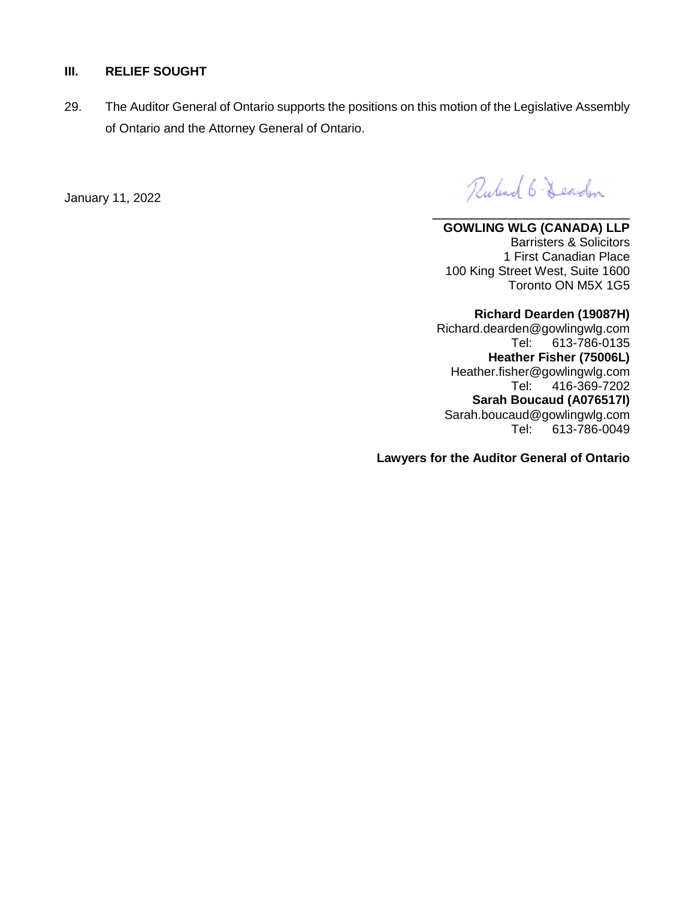### **III. RELIEF SOUGHT**

29. The Auditor General of Ontario supports the positions on this motion of the Legislative Assembly of Ontario and the Attorney General of Ontario.

January 11, 2022

Rubert 6-Dearden

**\_\_\_\_\_\_\_\_\_\_\_\_\_\_\_\_\_\_\_\_\_\_\_\_\_\_\_\_\_ GOWLING WLG (CANADA) LLP**  Barristers & Solicitors 1 First Canadian Place 100 King Street West, Suite 1600 Toronto ON M5X 1G5

**Richard Dearden (19087H)**  Richard.dearden@gowlingwlg.com Tel: 613-786-0135 **Heather Fisher (75006L)**  Heather.fisher@gowlingwlg.com Tel: 416-369-7202 **Sarah Boucaud (A076517I)**  Sarah.boucaud@gowlingwlg.com Tel: 613-786-0049

**Lawyers for the Auditor General of Ontario**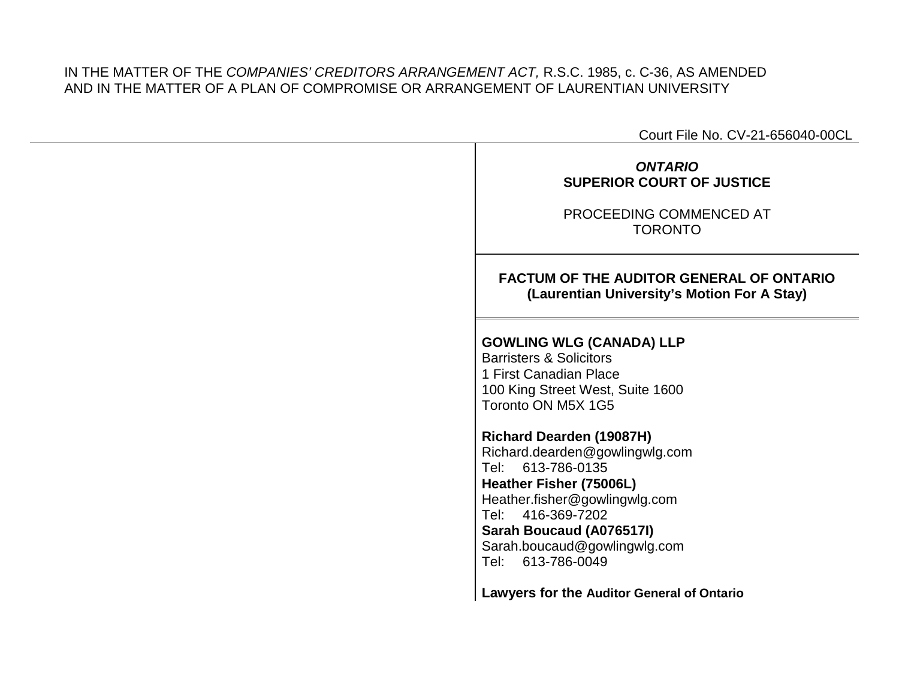## IN THE MATTER OF THE *COMPANIES' CREDITORS ARRANGEMENT ACT,* R.S.C. 1985, c. C-36, AS AMENDED AND IN THE MATTER OF A PLAN OF COMPROMISE OR ARRANGEMENT OF LAURENTIAN UNIVERSITY

Court File No. CV-21-656040-00CL

# *ONTARIO* **SUPERIOR COURT OF JUSTICE**

PROCEEDING COMMENCED AT TORONTO

# **FACTUM OF THE AUDITOR GENERAL OF ONTARIO (Laurentian University's Motion For A Stay)**

# **GOWLING WLG (CANADA) LLP**

Barristers & Solicitors 1 First Canadian Place 100 King Street West, Suite 1600 Toronto ON M5X 1G5

## **Richard Dearden (19087H)**

Richard.dearden@gowlingwlg.com Tel: 613-786-0135 **Heather Fisher (75006L)**  Heather.fisher@gowlingwlg.com Tel: 416-369-7202 **Sarah Boucaud (A076517I)**  Sarah.boucaud@gowlingwlg.com Tel: 613-786-0049

**Lawyers for the Auditor General of Ontario**